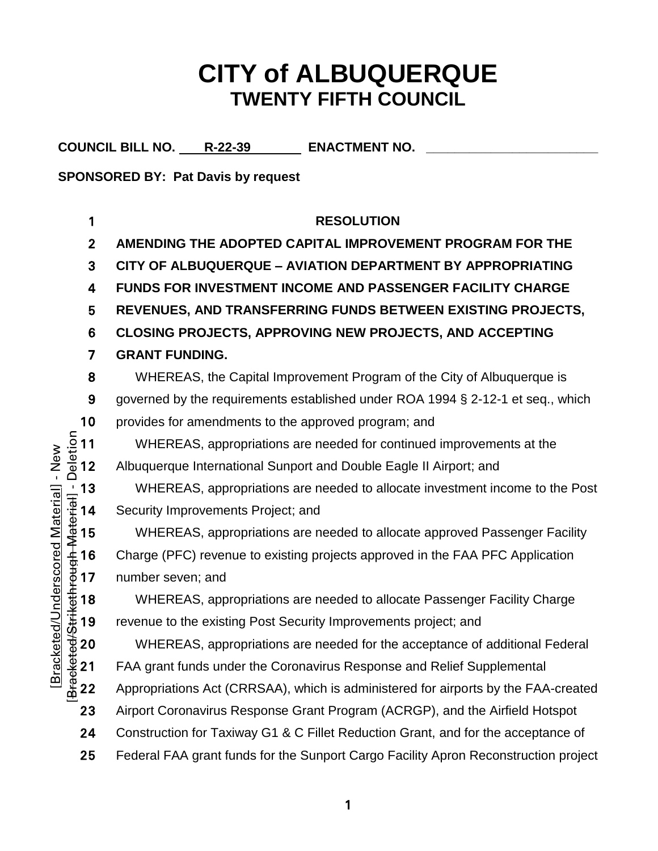# **CITY of ALBUQUERQUE TWENTY FIFTH COUNCIL**

COUNCIL BILL NO. R-22-39 ENACTMENT NO.

**SPONSORED BY: Pat Davis by request**

1 **RESOLUTION** 2 **AMENDING THE ADOPTED CAPITAL IMPROVEMENT PROGRAM FOR THE**  3 **CITY OF ALBUQUERQUE – AVIATION DEPARTMENT BY APPROPRIATING** 4 **FUNDS FOR INVESTMENT INCOME AND PASSENGER FACILITY CHARGE**  5 **REVENUES, AND TRANSFERRING FUNDS BETWEEN EXISTING PROJECTS,** 6 **CLOSING PROJECTS, APPROVING NEW PROJECTS, AND ACCEPTING**  7 **GRANT FUNDING.** 8 WHEREAS, the Capital Improvement Program of the City of Albuquerque is 9 governed by the requirements established under ROA 1994 § 2-12-1 et seq., which 10 provides for amendments to the approved program; and<br>  $\frac{5}{8}$  11 WHEREAS, appropriations are needed for continued<br>  $\frac{1}{8}$  12 Albuquerque International Sunport and Double Eagle II WHEREAS, appropriations are needed for continued improvements at the Albuquerque International Sunport and Double Eagle II Airport; and The UNEREAS, appropriations are needed to allocate investment income to the Post<br>  $\frac{1}{3}$  14 Security Improvements Project; and<br>
WHEREAS, appropriations are needed to allocate approved Passenger Facility<br>  $\frac{4}{3}$  16 C Security Improvements Project; and WHEREAS, appropriations are needed to allocate approved Passenger Facility 16 Charge (PFC) revenue to existing projects approved in the FAA PFC Application number seven; and WHEREAS, appropriations are needed to allocate Passenger Facility Charge<br>
18 revenue to the existing Post Security Improvements project; and<br>
20 WHEREAS, appropriations are needed for the acceptance of additional Feder<br>
21 revenue to the existing Post Security Improvements project; and WHEREAS, appropriations are needed for the acceptance of additional Federal 21 FAA grant funds under the Coronavirus Response and Relief Supplemental 22 Appropriations Act (CRRSAA), which is administered for airports by the FAA-created 23 Airport Coronavirus Response Grant Program (ACRGP), and the Airfield Hotspot 24 Construction for Taxiway G1 & C Fillet Reduction Grant, and for the acceptance of 25 Federal FAA grant funds for the Sunport Cargo Facility Apron Reconstruction project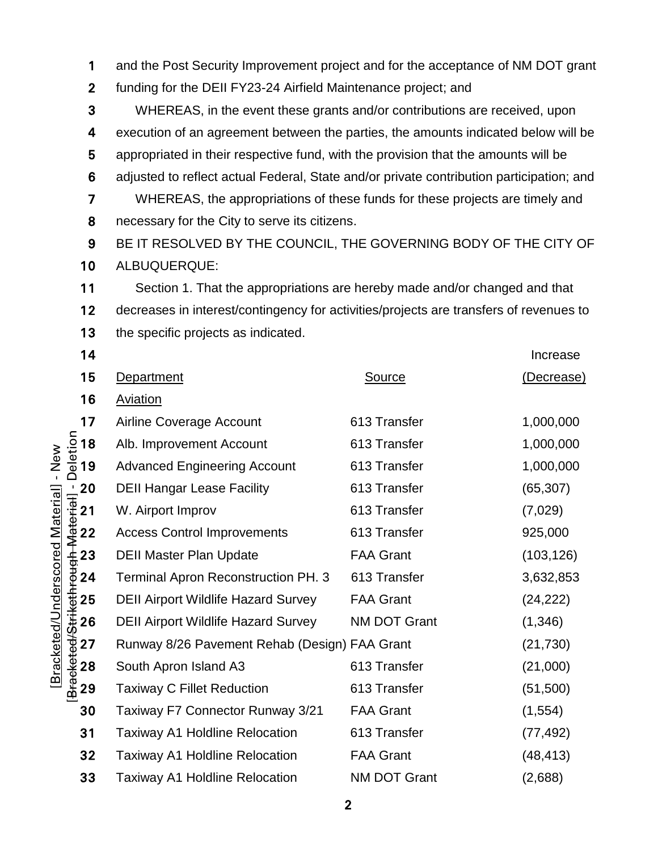1 and the Post Security Improvement project and for the acceptance of NM DOT grant

funding for the DEII FY23-24 Airfield Maintenance project; and

WHEREAS, in the event these grants and/or contributions are received, upon execution of an agreement between the parties, the amounts indicated below will be appropriated in their respective fund, with the provision that the amounts will be adjusted to reflect actual Federal, State and/or private contribution participation; and WHEREAS, the appropriations of these funds for these projects are timely and 8 necessary for the City to serve its citizens.

BE IT RESOLVED BY THE COUNCIL, THE GOVERNING BODY OF THE CITY OF ALBUQUERQUE:

Section 1. That the appropriations are hereby made and/or changed and that decreases in interest/contingency for activities/projects are transfers of revenues to 13 the specific projects as indicated.

| 14                                                                                                                      |                                               |                     | Increase             |  |
|-------------------------------------------------------------------------------------------------------------------------|-----------------------------------------------|---------------------|----------------------|--|
| 15                                                                                                                      | Department                                    | <b>Source</b>       | (Decrease)           |  |
| 16                                                                                                                      | <b>Aviation</b>                               |                     |                      |  |
| 17<br>$\frac{1}{2}$<br>$\frac{1}{2}$<br>$\frac{1}{2}$<br>$\frac{1}{2}$                                                  | Airline Coverage Account                      | 613 Transfer        | 1,000,000            |  |
|                                                                                                                         | Alb. Improvement Account                      | 613 Transfer        | 1,000,000            |  |
|                                                                                                                         | <b>Advanced Engineering Account</b>           | 613 Transfer        | 1,000,000            |  |
|                                                                                                                         | <b>DEII Hangar Lease Facility</b>             | 613 Transfer        | (65, 307)<br>(7,029) |  |
|                                                                                                                         | W. Airport Improv                             | 613 Transfer        |                      |  |
| $\frac{1}{16}$ and 2 2 2 3 4 5 6 7 8 9 2 2 2 2 3 9 9 1 2 2 2 3 4 5 6 7 8 9 9 1 2 2 2 3 9 9 1 2 2 2 3 9 9 $\frac{1}{16}$ | <b>Access Control Improvements</b>            | 613 Transfer        | 925,000              |  |
|                                                                                                                         | <b>DEII Master Plan Update</b>                | <b>FAA Grant</b>    | (103, 126)           |  |
|                                                                                                                         | <b>Terminal Apron Reconstruction PH. 3</b>    | 613 Transfer        | 3,632,853            |  |
|                                                                                                                         | <b>DEII Airport Wildlife Hazard Survey</b>    | <b>FAA Grant</b>    | (24, 222)            |  |
|                                                                                                                         | <b>DEII Airport Wildlife Hazard Survey</b>    | <b>NM DOT Grant</b> | (1,346)              |  |
|                                                                                                                         | Runway 8/26 Pavement Rehab (Design) FAA Grant |                     | (21, 730)            |  |
|                                                                                                                         | South Apron Island A3                         | 613 Transfer        | (21,000)             |  |
|                                                                                                                         | <b>Taxiway C Fillet Reduction</b>             | 613 Transfer        | (51, 500)            |  |
| 30                                                                                                                      | Taxiway F7 Connector Runway 3/21              | <b>FAA Grant</b>    | (1, 554)             |  |
| 31                                                                                                                      | <b>Taxiway A1 Holdline Relocation</b>         | 613 Transfer        | (77, 492)            |  |
| 32                                                                                                                      | <b>Taxiway A1 Holdline Relocation</b>         | <b>FAA Grant</b>    | (48, 413)            |  |
| 33                                                                                                                      | <b>Taxiway A1 Holdline Relocation</b>         | <b>NM DOT Grant</b> | (2,688)              |  |

۔<br>نفصا م [Bracketed/Underscored Material] - New [Bracketed/Underscored Material] - New اا ∼نسم±∼۱۸ ماست. حله درانسه ۱٫۵ له دغه داد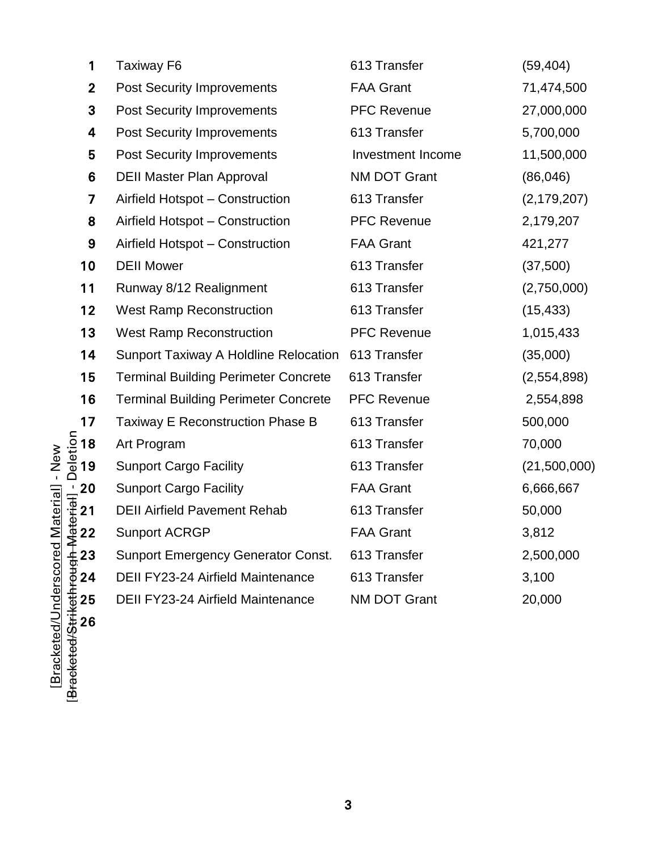| 1                 | <b>Taxiway F6</b>                                  | 613 Transfer        | (59, 404)     |
|-------------------|----------------------------------------------------|---------------------|---------------|
| $\overline{2}$    | <b>Post Security Improvements</b>                  | <b>FAA Grant</b>    | 71,474,500    |
| 3                 | <b>Post Security Improvements</b>                  | <b>PFC Revenue</b>  | 27,000,000    |
| 4                 | <b>Post Security Improvements</b>                  | 613 Transfer        | 5,700,000     |
| 5                 | <b>Post Security Improvements</b>                  | Investment Income   | 11,500,000    |
| 6                 | <b>DEII Master Plan Approval</b>                   | <b>NM DOT Grant</b> | (86,046)      |
| $\overline{7}$    | Airfield Hotspot - Construction                    | 613 Transfer        | (2, 179, 207) |
| 8                 | Airfield Hotspot - Construction                    | <b>PFC Revenue</b>  | 2,179,207     |
| 9                 | Airfield Hotspot - Construction                    | <b>FAA Grant</b>    | 421,277       |
| 10                | <b>DEII Mower</b>                                  | 613 Transfer        | (37,500)      |
| 11                | Runway 8/12 Realignment                            | 613 Transfer        | (2,750,000)   |
| 12                | <b>West Ramp Reconstruction</b>                    | 613 Transfer        | (15, 433)     |
| 13                | <b>West Ramp Reconstruction</b>                    | <b>PFC Revenue</b>  | 1,015,433     |
| 14                | Sunport Taxiway A Holdline Relocation 613 Transfer |                     | (35,000)      |
| 15                | <b>Terminal Building Perimeter Concrete</b>        | 613 Transfer        | (2,554,898)   |
| 16                | <b>Terminal Building Perimeter Concrete</b>        | <b>PFC Revenue</b>  | 2,554,898     |
| 17                | Taxiway E Reconstruction Phase B                   | 613 Transfer        | 500,000       |
| $\overline{2}$ 18 | Art Program                                        | 613 Transfer        | 70,000        |
| 19                | <b>Sunport Cargo Facility</b>                      | 613 Transfer        | (21,500,000)  |
| 20                | <b>Sunport Cargo Facility</b>                      | <b>FAA Grant</b>    | 6,666,667     |
| 21                | <b>DEII Airfield Pavement Rehab</b>                | 613 Transfer        | 50,000        |
| 22 <u>ֿ</u>       | <b>Sunport ACRGP</b>                               | <b>FAA Grant</b>    | 3,812         |
| 23                | <b>Sunport Emergency Generator Const.</b>          | 613 Transfer        | 2,500,000     |
| 24                | <b>DEII FY23-24 Airfield Maintenance</b>           | 613 Transfer        | 3,100         |
| 25                | <b>DEII FY23-24 Airfield Maintenance</b>           | <b>NM DOT Grant</b> | 20,000        |

[Bracketed/Underscored Material] - New [Bracketed/Strikethrough Material] - Deletion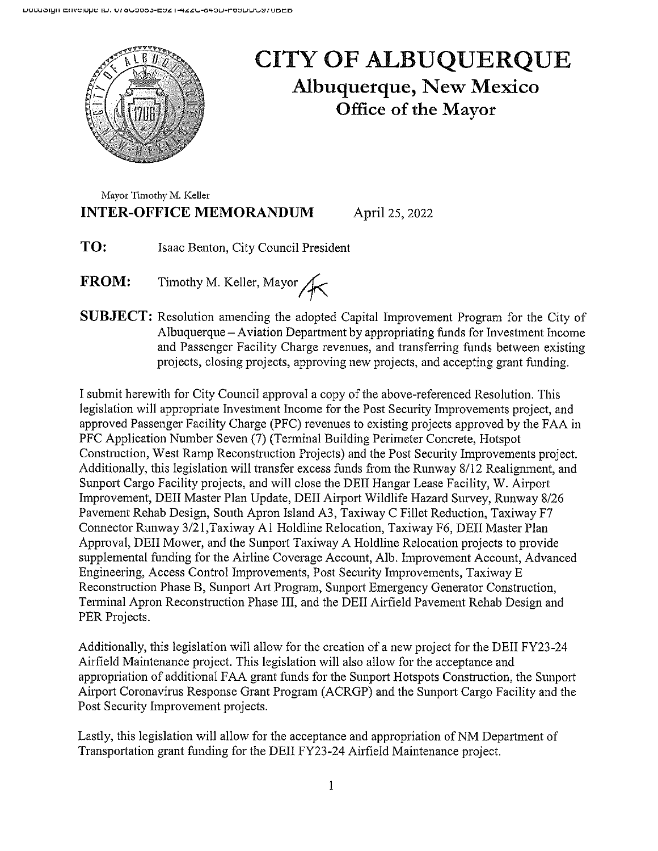

## **CITY OF ALBUQUERQUE Albuquerque, New Mexico** Office of the Mayor

Mayor Timothy M. Keller **INTER-OFFICE MEMORANDUM** 

April 25, 2022

- TO: Isaac Benton, City Council President
- Timothy M. Keller, Mayor **FROM:**
- **SUBJECT:** Resolution amending the adopted Capital Improvement Program for the City of Albuquerque – Aviation Department by appropriating funds for Investment Income and Passenger Facility Charge revenues, and transferring funds between existing projects, closing projects, approving new projects, and accepting grant funding.

I submit herewith for City Council approval a copy of the above-referenced Resolution. This legislation will appropriate Investment Income for the Post Security Improvements project, and approved Passenger Facility Charge (PFC) revenues to existing projects approved by the FAA in PFC Application Number Seven (7) (Terminal Building Perimeter Concrete, Hotspot Construction, West Ramp Reconstruction Projects) and the Post Security Improvements project. Additionally, this legislation will transfer excess funds from the Runway 8/12 Realignment, and Sunport Cargo Facility projects, and will close the DEII Hangar Lease Facility, W. Airport Improvement, DEII Master Plan Update, DEII Airport Wildlife Hazard Survey, Runway 8/26 Pavement Rehab Design, South Apron Island A3, Taxiway C Fillet Reduction, Taxiway F7 Connector Runway 3/21, Taxiway A1 Holdline Relocation, Taxiway F6, DEII Master Plan Approval, DEII Mower, and the Sunport Taxiway A Holdline Relocation projects to provide supplemental funding for the Airline Coverage Account, Alb. Improvement Account, Advanced Engineering, Access Control Improvements, Post Security Improvements, Taxiway E. Reconstruction Phase B, Sunport Art Program, Sunport Emergency Generator Construction, Terminal Apron Reconstruction Phase III, and the DEII Airfield Pavement Rehab Design and PER Projects.

Additionally, this legislation will allow for the creation of a new project for the DEII FY23-24 Airfield Maintenance project. This legislation will also allow for the acceptance and appropriation of additional FAA grant funds for the Sunport Hotspots Construction, the Sunport Airport Coronavirus Response Grant Program (ACRGP) and the Sunport Cargo Facility and the Post Security Improvement projects.

Lastly, this legislation will allow for the acceptance and appropriation of NM Department of Transportation grant funding for the DEII FY23-24 Airfield Maintenance project.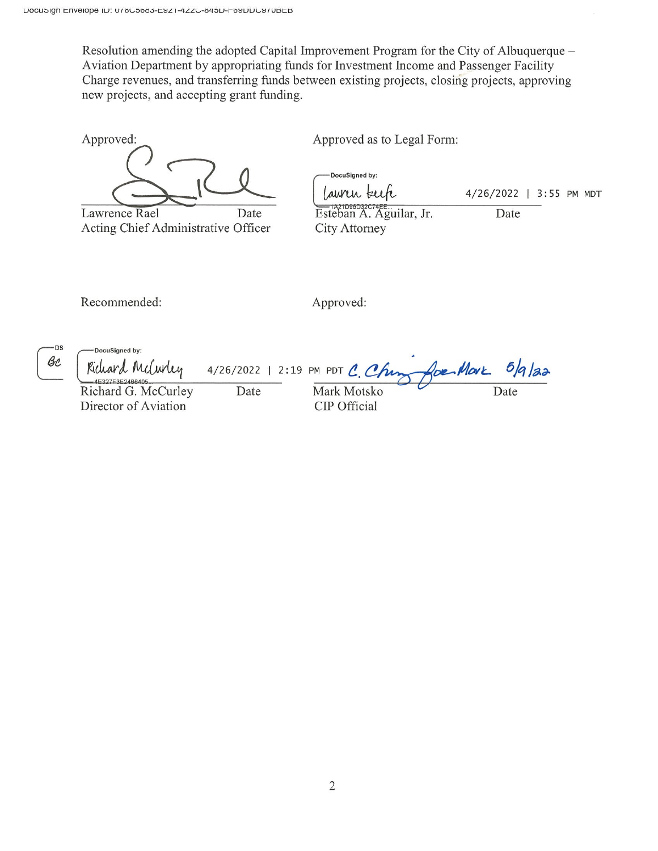Resolution amending the adopted Capital Improvement Program for the City of Albuquerque – Aviation Department by appropriating funds for Investment Income and Passenger Facility Charge revenues, and transferring funds between existing projects, closing projects, approving new projects, and accepting grant funding.

Approved: Lawrence Rael Date

Acting Chief Administrative Officer

Approved as to Legal Form:

DocuSigned by: Lauren keek Esteban A. Aguilar, Jr. City Attorney

4/26/2022 | 3:55 PM MDT

Date

Recommended:

Approved:

-DS Вc

DocuSianed by: for More Richard McCurley  $5/9/32$ 4/26/2022 | 2:19 PM PDT C. Chin E327F3E2466405 Richard G. McCurley Date Mark Motsko Date Director of Aviation CIP Official

 $\overline{2}$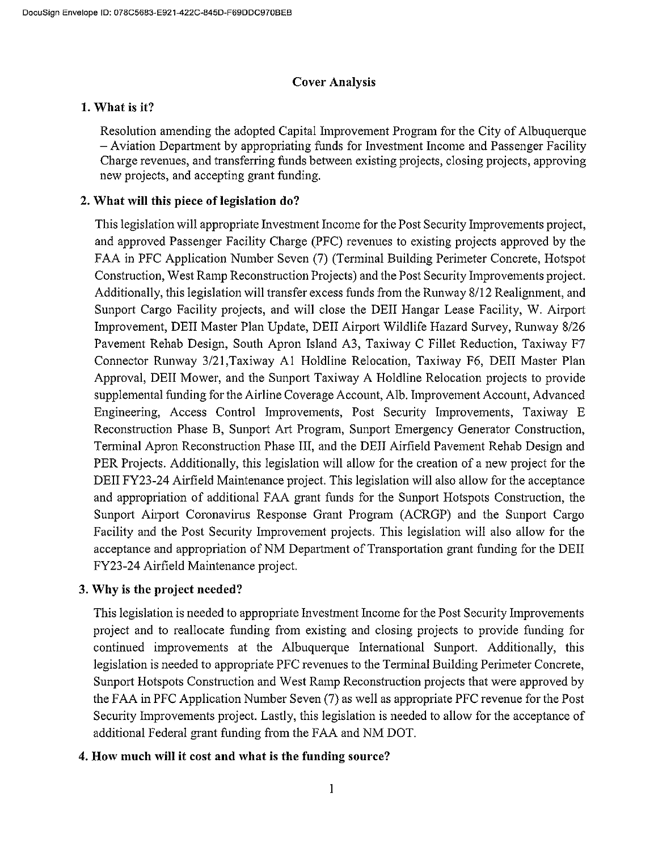#### **Cover Analysis**

#### 1. What is it?

Resolution amending the adopted Capital Improvement Program for the City of Albuquerque - Aviation Department by appropriating funds for Investment Income and Passenger Facility Charge revenues, and transferring funds between existing projects, closing projects, approving new projects, and accepting grant funding.

#### 2. What will this piece of legislation do?

This legislation will appropriate Investment Income for the Post Security Improvements project, and approved Passenger Facility Charge (PFC) revenues to existing projects approved by the FAA in PFC Application Number Seven (7) (Terminal Building Perimeter Concrete, Hotspot Construction, West Ramp Reconstruction Projects) and the Post Security Improvements project. Additionally, this legislation will transfer excess funds from the Runway 8/12 Realignment, and Sunport Cargo Facility projects, and will close the DEII Hangar Lease Facility, W. Airport Improvement, DEII Master Plan Update, DEII Airport Wildlife Hazard Survey, Runway 8/26 Pavement Rehab Design, South Apron Island A3, Taxiway C Fillet Reduction, Taxiway F7 Connector Runway 3/21, Taxiway A1 Holdline Relocation, Taxiway F6, DEII Master Plan Approval, DEII Mower, and the Sunport Taxiway A Holdline Relocation projects to provide supplemental funding for the Airline Coverage Account, Alb. Improvement Account, Advanced Engineering, Access Control Improvements, Post Security Improvements, Taxiway E Reconstruction Phase B, Sunport Art Program, Sunport Emergency Generator Construction, Terminal Apron Reconstruction Phase III, and the DEII Airfield Pavement Rehab Design and PER Projects. Additionally, this legislation will allow for the creation of a new project for the DEII FY23-24 Airfield Maintenance project. This legislation will also allow for the acceptance and appropriation of additional FAA grant funds for the Sunport Hotspots Construction, the Sunport Airport Coronavirus Response Grant Program (ACRGP) and the Sunport Cargo Facility and the Post Security Improvement projects. This legislation will also allow for the acceptance and appropriation of NM Department of Transportation grant funding for the DEII FY23-24 Airfield Maintenance project.

### 3. Why is the project needed?

This legislation is needed to appropriate Investment Income for the Post Security Improvements project and to reallocate funding from existing and closing projects to provide funding for continued improvements at the Albuquerque International Sunport. Additionally, this legislation is needed to appropriate PFC revenues to the Terminal Building Perimeter Concrete, Sunport Hotspots Construction and West Ramp Reconstruction projects that were approved by the FAA in PFC Application Number Seven (7) as well as appropriate PFC revenue for the Post Security Improvements project. Lastly, this legislation is needed to allow for the acceptance of additional Federal grant funding from the FAA and NM DOT.

### 4. How much will it cost and what is the funding source?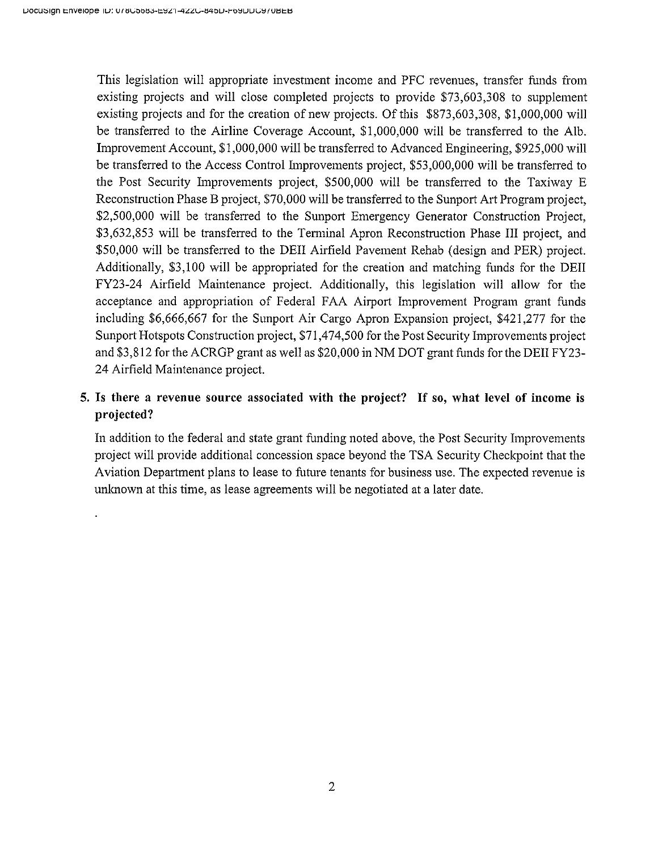This legislation will appropriate investment income and PFC revenues, transfer funds from existing projects and will close completed projects to provide \$73,603,308 to supplement existing projects and for the creation of new projects. Of this \$873,603,308, \$1,000,000 will be transferred to the Airline Coverage Account, \$1,000,000 will be transferred to the Alb. Improvement Account, \$1,000,000 will be transferred to Advanced Engineering, \$925,000 will be transferred to the Access Control Improvements project, \$53,000,000 will be transferred to the Post Security Improvements project, \$500,000 will be transferred to the Taxiway E Reconstruction Phase B project, \$70,000 will be transferred to the Sunport Art Program project, \$2,500,000 will be transferred to the Sunport Emergency Generator Construction Project, \$3,632,853 will be transferred to the Terminal Apron Reconstruction Phase III project, and \$50,000 will be transferred to the DEII Airfield Pavement Rehab (design and PER) project. Additionally, \$3,100 will be appropriated for the creation and matching funds for the DEII FY23-24 Airfield Maintenance project. Additionally, this legislation will allow for the acceptance and appropriation of Federal FAA Airport Improvement Program grant funds including \$6,666,667 for the Sunport Air Cargo Apron Expansion project, \$421,277 for the Sunport Hotspots Construction project, \$71,474,500 for the Post Security Improvements project and \$3,812 for the ACRGP grant as well as \$20,000 in NM DOT grant funds for the DEII FY23-24 Airfield Maintenance project.

## 5. Is there a revenue source associated with the project? If so, what level of income is projected?

In addition to the federal and state grant funding noted above, the Post Security Improvements project will provide additional concession space beyond the TSA Security Checkpoint that the Aviation Department plans to lease to future tenants for business use. The expected revenue is unknown at this time, as lease agreements will be negotiated at a later date.